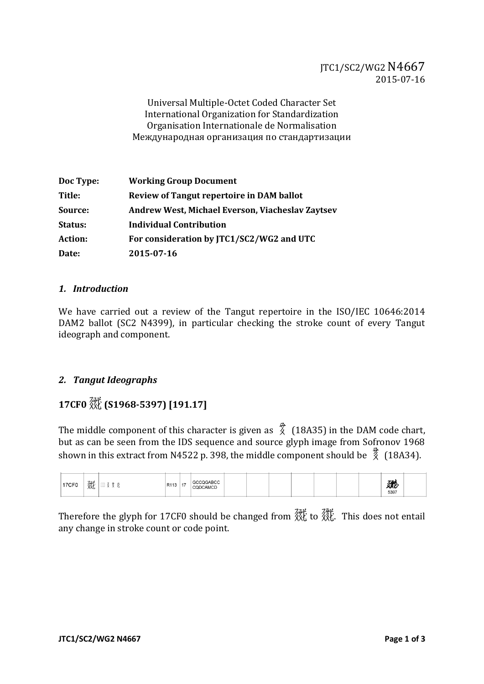Universal Multiple-Octet Coded Character Set International Organization for Standardization Organisation Internationale de Normalisation Международная организация по стандартизации

| Doc Type:      | <b>Working Group Document</b>                    |
|----------------|--------------------------------------------------|
| Title:         | <b>Review of Tangut repertoire in DAM ballot</b> |
| Source:        | Andrew West, Michael Everson, Viacheslav Zaytsev |
| Status:        | <b>Individual Contribution</b>                   |
| <b>Action:</b> | For consideration by JTC1/SC2/WG2 and UTC        |
| Date:          | 2015-07-16                                       |

#### *1. Introduction*

We have carried out a review of the Tangut repertoire in the ISO/IEC 10646:2014 DAM2 ballot (SC2 N4399), in particular checking the stroke count of every Tangut ideograph and component.

#### *2. Tangut Ideographs*

## **17CF0 (S1968-5397) [191.17]**

The middle component of this character is given as  $\chi^2$  (18A35) in the DAM code chart, but as can be seen from the IDS sequence and source glyph image from Sofronov 1968 shown in this extract from N4522 p. 398, the middle component should be  $\frac{3}{2}$  (18A34).

| <b>17CF0</b> | 毲 |  | R113 | 17 | <b>GCCOGARCC</b><br>CQDCAMCD |  |  |  |  |  |  |  | 鏭<br>5397 |  |
|--------------|---|--|------|----|------------------------------|--|--|--|--|--|--|--|-----------|--|
|--------------|---|--|------|----|------------------------------|--|--|--|--|--|--|--|-----------|--|

Therefore the glyph for 17CF0 should be changed from  $\frac{2}{N}$  to  $\frac{2}{N}$ . This does not entail any change in stroke count or code point.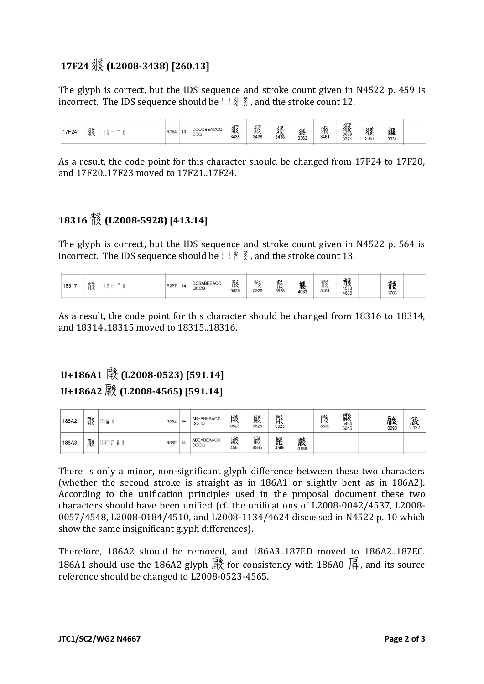## **17F24 (L2008-3438) [260.13]**

The glyph is correct, but the IDS sequence and stroke count given in N4522 p. 459 is incorrect. The IDS sequence should be  $\Box \text{ } \frac{4}{3}$ , and the stroke count 12.



As a result, the code point for this character should be changed from 17F24 to 17F20, and 17F20..17F23 moved to 17F21..17F24.

## **18316 (L2008-5928) [413.14]**

The glyph is correct, but the IDS sequence and stroke count given in N4522 p. 564 is incorrect. The IDS sequence should be  $\Box \nmid \frac{2}{3}$ , and the stroke count 13.

| 4533<br>QCCQ<br>3464<br>5928<br>5928<br>5928<br>4983<br>1703<br>4685 | 18317 | 骸 |  | R257 | 14 | <b>DCBABEEACC</b> | 骸 | 骸 | $\mathbf{w}$<br>訤 | 穣 | 骸 | リニ<br>π₹ |  | -2000<br>币发 |  |  |
|----------------------------------------------------------------------|-------|---|--|------|----|-------------------|---|---|-------------------|---|---|----------|--|-------------|--|--|
|----------------------------------------------------------------------|-------|---|--|------|----|-------------------|---|---|-------------------|---|---|----------|--|-------------|--|--|

As a result, the code point for this character should be changed from 18316 to 18314, and 18314..18315 moved to 18315..18316.

# **U+186A1 (L2008-0523) [591.14] U+186A2 (L2008-4565) [591.14]**

| 186A2 | 醈 | 冨 | R382 | 14 | ABEABEAACC<br>CQCQ | 醈<br>0523 | 醈<br>0523 | 颩<br>0523 |           | 鬷<br>3500 | 縣<br>5645 | 驐<br>0290 | 巌<br>$2 - 122$ |
|-------|---|---|------|----|--------------------|-----------|-----------|-----------|-----------|-----------|-----------|-----------|----------------|
| 186A3 | 驋 |   | R382 | 14 | ABEABEAACC<br>CQCQ | 颩<br>4565 | 驋<br>4565 | 鼨<br>4565 | 嚴<br>0186 |           |           |           |                |

There is only a minor, non-significant glyph difference between these two characters (whether the second stroke is straight as in 186A1 or slightly bent as in 186A2). According to the unification principles used in the proposal document these two characters should have been unified (cf. the unifications of L2008-0042/4537, L2008- 0057/4548, L2008-0184/4510, and L2008-1134/4624 discussed in N4522 p. 10 which show the same insignificant glyph differences).

Therefore, 186A2 should be removed, and 186A3..187ED moved to 186A2..187EC. 186A1 should use the 186A2 glyph  $\frac{2}{3}$  for consistency with 186A0  $\frac{1}{3}$ , and its source reference should be changed to L2008-0523-4565.